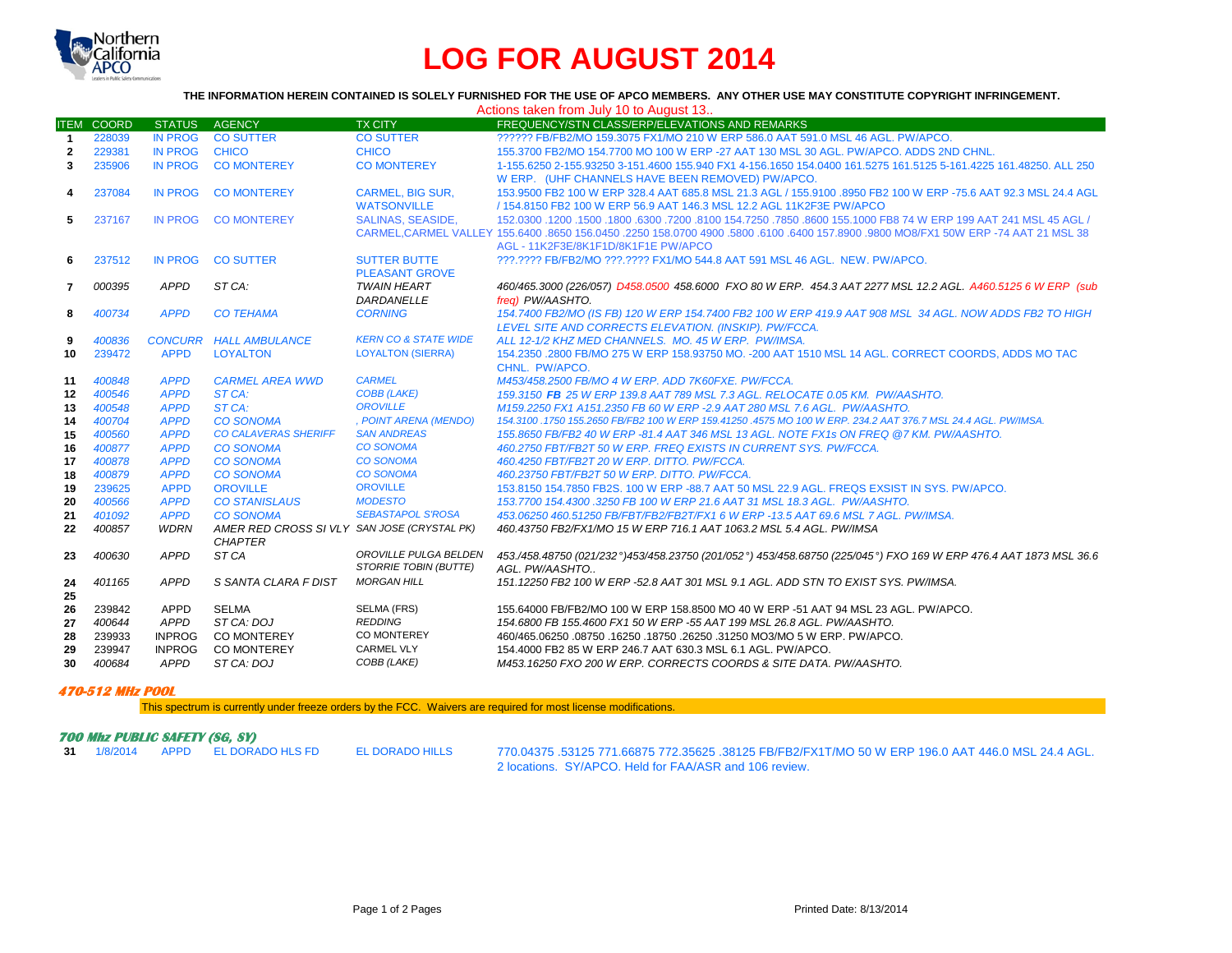

## **LOG FOR AUGUST 2014**

## **THE INFORMATION HEREIN CONTAINED IS SOLELY FURNISHED FOR THE USE OF APCO MEMBERS. ANY OTHER USE MAY CONSTITUTE COPYRIGHT INFRINGEMENT.**

|              |                   |                            |                                             |                                      | Actions taken from July 10 to August 13                                                                                                                                 |
|--------------|-------------------|----------------------------|---------------------------------------------|--------------------------------------|-------------------------------------------------------------------------------------------------------------------------------------------------------------------------|
|              | <b>ITEM COORD</b> | <b>STATUS</b>              | <b>AGENCY</b>                               | <b>TX CITY</b>                       | FREQUENCY/STN CLASS/ERP/ELEVATIONS AND REMARKS                                                                                                                          |
| $\mathbf{1}$ | 228039            | <b>IN PROG</b>             | <b>CO SUTTER</b>                            | <b>CO SUTTER</b>                     | ?????? FB/FB2/MO 159.3075 FX1/MO 210 W ERP 586.0 AAT 591.0 MSL 46 AGL, PW/APCO.                                                                                         |
| $\mathbf{2}$ | 229381            | <b>IN PROG</b>             | <b>CHICO</b>                                | <b>CHICO</b>                         | 155.3700 FB2/MO 154.7700 MO 100 W ERP -27 AAT 130 MSL 30 AGL, PW/APCO, ADDS 2ND CHNL.                                                                                   |
| 3            | 235906            | <b>IN PROG</b>             | <b>CO MONTEREY</b>                          | <b>CO MONTEREY</b>                   | 1-155.6250 2-155.93250 3-151.4600 155.940 FX1 4-156.1650 154.0400 161.5275 161.5125 5-161.4225 161.48250. ALL 250                                                       |
|              |                   |                            |                                             |                                      | W ERP. (UHF CHANNELS HAVE BEEN REMOVED) PW/APCO.                                                                                                                        |
| 4            | 237084            | <b>IN PROG</b>             | <b>CO MONTEREY</b>                          | <b>CARMEL, BIG SUR.</b>              | 153,9500 FB2 100 W ERP 328.4 AAT 685.8 MSL 21.3 AGL / 155,9100 8950 FB2 100 W ERP -75.6 AAT 92.3 MSL 24.4 AGL                                                           |
|              |                   |                            |                                             | <b>WATSONVILLE</b>                   | / 154.8150 FB2 100 W ERP 56.9 AAT 146.3 MSL 12.2 AGL 11K2F3E PW/APCO                                                                                                    |
| 5            | 237167            | IN PROG                    | <b>CO MONTEREY</b>                          | <b>SALINAS, SEASIDE.</b>             | 152,0300 1200 1500 1500 16300 17200 8100 154.7250 7850 8600 155.1000 FB8 74 W ERP 199 AAT 241 MSL 45 AGL /                                                              |
|              |                   |                            |                                             |                                      | CARMEL.CARMEL VALLEY 155,6400 .8650 156,0450 .2250 158,0700 4900 .5800 .6100 .6400 157,8900 .9800 MO8/FX1 50W ERP -74 AAT 21 MSL 38                                     |
|              |                   |                            |                                             |                                      | AGL - 11K2F3E/8K1F1D/8K1F1E PW/APCO                                                                                                                                     |
| 6            | 237512            | <b>IN PROG</b>             | <b>CO SUTTER</b>                            | <b>SUTTER BUTTE</b>                  | ???.???? FB/FB2/MO ???.???? FX1/MO 544.8 AAT 591 MSL 46 AGL. NEW. PW/APCO.                                                                                              |
|              |                   |                            |                                             | <b>PLEASANT GROVE</b>                |                                                                                                                                                                         |
| $\mathbf{7}$ | 000395            | <b>APPD</b>                | ST CA:                                      | <b>TWAIN HEART</b>                   | 460/465.3000 (226/057) D458.0500 458.6000 FXO 80 W ERP. 454.3 AAT 2277 MSL 12.2 AGL. A460.5125 6 W ERP (sub                                                             |
|              |                   |                            |                                             | DARDANELLE                           | frea) PW/AASHTO.                                                                                                                                                        |
| 8            | 400734            | <b>APPD</b>                | <b>CO TEHAMA</b>                            | <b>CORNING</b>                       | 154.7400 FB2/MO (IS FB) 120 W ERP 154.7400 FB2 100 W ERP 419.9 AAT 908 MSL 34 AGL. NOW ADDS FB2 TO HIGH                                                                 |
|              |                   |                            |                                             |                                      | LEVEL SITE AND CORRECTS ELEVATION. (INSKIP). PW/FCCA.                                                                                                                   |
| 9            | 400836            | <b>CONCURR</b>             | <b>HALL AMBULANCE</b>                       | <b>KERN CO &amp; STATE WIDE</b>      | ALL 12-1/2 KHZ MED CHANNELS. MO. 45 W ERP. PW/IMSA.                                                                                                                     |
| 10           | 239472            | <b>APPD</b>                | <b>LOYALTON</b>                             | <b>LOYALTON (SIERRA)</b>             | 154.2350 .2800 FB/MO 275 W ERP 158.93750 MO. -200 AAT 1510 MSL 14 AGL. CORRECT COORDS, ADDS MO TAC                                                                      |
|              |                   |                            |                                             |                                      | CHNL. PW/APCO.                                                                                                                                                          |
| 11           | 400848            | <b>APPD</b>                | <b>CARMEL AREA WWD</b>                      | <b>CARMEL</b>                        | M453/458.2500 FB/MO 4 W ERP. ADD 7K60FXE. PW/FCCA.                                                                                                                      |
| 12           | 400546            | <b>APPD</b>                | ST CA:                                      | <b>COBB (LAKE)</b>                   | 159.3150 FB 25 W ERP 139.8 AAT 789 MSL 7.3 AGL. RELOCATE 0.05 KM. PW/AASHTO.                                                                                            |
| 13           | 400548            | <b>APPD</b>                | ST CA:                                      | <b>OROVILLE</b>                      | M159.2250 FX1 A151.2350 FB 60 W ERP -2.9 AAT 280 MSL 7.6 AGL. PW/AASHTO.                                                                                                |
| 14           | 400704            | <b>APPD</b>                | <b>CO SONOMA</b>                            | , POINT ARENA (MENDO)                | 154.3100 .1750 155.2650 FB/FB2 100 W ERP 159.41250 .4575 MO 100 W ERP. 234.2 AAT 376.7 MSL 24.4 AGL. PW/IMSA.                                                           |
| 15           | 400560            | <b>APPD</b>                | <b>CO CALAVERAS SHERIFF</b>                 | <b>SAN ANDREAS</b>                   | 155.8650 FB/FB2 40 W ERP -81.4 AAT 346 MSL 13 AGL. NOTE FX1s ON FREQ @7 KM, PW/AASHTO.                                                                                  |
| 16           | 400877            | <b>APPD</b>                | <b>CO SONOMA</b>                            | <b>CO SONOMA</b>                     | 460.2750 FBT/FB2T 50 W ERP. FREQ EXISTS IN CURRENT SYS. PW/FCCA.                                                                                                        |
| 17           | 400878            | <b>APPD</b>                | <b>CO SONOMA</b>                            | <b>CO SONOMA</b><br><b>CO SONOMA</b> | 460.4250 FBT/FB2T 20 W ERP. DITTO. PW/FCCA.                                                                                                                             |
| 18           | 400879            | <b>APPD</b>                | <b>CO SONOMA</b>                            | <b>OROVILLE</b>                      | 460.23750 FBT/FB2T 50 W ERP. DITTO. PW/FCCA.                                                                                                                            |
| 19           | 239625<br>400566  | <b>APPD</b><br><b>APPD</b> | <b>OROVILLE</b><br><b>CO STANISLAUS</b>     | <b>MODESTO</b>                       | 153,8150 154,7850 FB2S, 100 W ERP -88,7 AAT 50 MSL 22.9 AGL, FREQS EXSIST IN SYS, PW/APCO,<br>153.7700 154.4300 .3250 FB 100 W ERP 21.6 AAT 31 MSL 18.3 AGL. PW/AASHTO. |
| 20<br>21     | 401092            | <b>APPD</b>                | <b>CO SONOMA</b>                            | <b>SEBASTAPOL S'ROSA</b>             | 453.06250 460.51250 FB/FBT/FB2/FB2T/FX1 6 W ERP -13.5 AAT 69.6 MSL 7 AGL. PW/IMSA.                                                                                      |
| 22           | 400857            | <b>WDRN</b>                | AMER RED CROSS SI VLY SAN JOSE (CRYSTAL PK) |                                      | 460.43750 FB2/FX1/MO 15 W ERP 716.1 AAT 1063.2 MSL 5.4 AGL. PW/IMSA                                                                                                     |
|              |                   |                            | <b>CHAPTER</b>                              |                                      |                                                                                                                                                                         |
| 23           | 400630            | <b>APPD</b>                | ST CA                                       | OROVILLE PULGA BELDEN                | 453./458.48750 (021/232°)453/458.23750 (201/052°) 453/458.68750 (225/045°) FXO 169 W ERP 476.4 AAT 1873 MSL 36.6                                                        |
|              |                   |                            |                                             | <b>STORRIE TOBIN (BUTTE)</b>         | AGL. PW/AASHTO                                                                                                                                                          |
| 24           | 401165            | <b>APPD</b>                | S SANTA CLARA F DIST                        | <b>MORGAN HILL</b>                   | 151.12250 FB2 100 W ERP -52.8 AAT 301 MSL 9.1 AGL. ADD STN TO EXIST SYS. PW/IMSA.                                                                                       |
| 25           |                   |                            |                                             |                                      |                                                                                                                                                                         |
| 26           | 239842            | APPD                       | <b>SELMA</b>                                | SELMA (FRS)                          | 155.64000 FB/FB2/MO 100 W ERP 158.8500 MO 40 W ERP -51 AAT 94 MSL 23 AGL. PW/APCO.                                                                                      |
| 27           | 400644            | <b>APPD</b>                | ST CA: DOJ                                  | <b>REDDING</b>                       | 154.6800 FB 155.4600 FX1 50 W ERP -55 AAT 199 MSL 26.8 AGL. PW/AASHTO.                                                                                                  |
| 28           | 239933            | <b>INPROG</b>              | <b>CO MONTEREY</b>                          | CO MONTEREY                          | 460/465.06250 .08750 .16250 .18750 .26250 .31250 MO3/MO 5 W ERP. PW/APCO.                                                                                               |
| 29           | 239947            | <b>INPROG</b>              | <b>CO MONTEREY</b>                          | <b>CARMEL VLY</b>                    | 154,4000 FB2 85 W ERP 246.7 AAT 630.3 MSL 6.1 AGL, PW/APCO.                                                                                                             |
| 30           | 400684            | <b>APPD</b>                | ST CA: DOJ                                  | COBB (LAKE)                          | M453.16250 FXO 200 W ERP. CORRECTS COORDS & SITE DATA. PW/AASHTO.                                                                                                       |
|              |                   |                            |                                             |                                      |                                                                                                                                                                         |

## **470-512 MHz POOL**

This spectrum is currently under freeze orders by the FCC. Waivers are required for most license modifications.

| 700 Mhz PUBLIC SAFETY (SG, SY) |  |  |                                   |                 |                                                                                                        |  |  |  |
|--------------------------------|--|--|-----------------------------------|-----------------|--------------------------------------------------------------------------------------------------------|--|--|--|
|                                |  |  | 31 1/8/2014 APPD EL DORADO HLS FD | EL DORADO HILLS | .24.4 AGL 35625 .38125 TB/FB2/FX1T/MO 50 W ERP 196.0 AAT 446.0 MSL 24.4 AGL 370.04375 .53125 771.66875 |  |  |  |
|                                |  |  |                                   |                 | 2 locations. SY/APCO, Held for FAA/ASR and 106 review.                                                 |  |  |  |